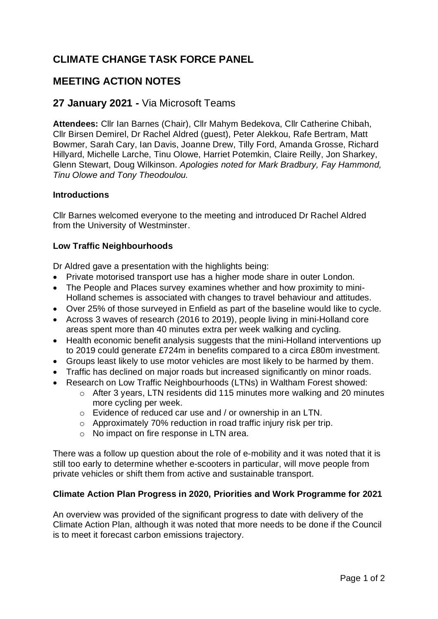# **CLIMATE CHANGE TASK FORCE PANEL**

## **MEETING ACTION NOTES**

### **27 January 2021 -** Via Microsoft Teams

**Attendees:** Cllr Ian Barnes (Chair), Cllr Mahym Bedekova, Cllr Catherine Chibah, Cllr Birsen Demirel, Dr Rachel Aldred (guest), Peter Alekkou, Rafe Bertram, Matt Bowmer, Sarah Cary, Ian Davis, Joanne Drew, Tilly Ford, Amanda Grosse, Richard Hillyard, Michelle Larche, Tinu Olowe, Harriet Potemkin, Claire Reilly, Jon Sharkey, Glenn Stewart, Doug Wilkinson. *Apologies noted for Mark Bradbury, Fay Hammond, Tinu Olowe and Tony Theodoulou.*

#### **Introductions**

Cllr Barnes welcomed everyone to the meeting and introduced Dr Rachel Aldred from the University of Westminster.

#### **Low Traffic Neighbourhoods**

Dr Aldred gave a presentation with the highlights being:

- Private motorised transport use has a higher mode share in outer London.
- The People and Places survey examines whether and how proximity to mini-Holland schemes is associated with changes to travel behaviour and attitudes.
- Over 25% of those surveyed in Enfield as part of the baseline would like to cycle.
- Across 3 waves of research (2016 to 2019), people living in mini-Holland core areas spent more than 40 minutes extra per week walking and cycling.
- Health economic benefit analysis suggests that the mini-Holland interventions up to 2019 could generate £724m in benefits compared to a circa £80m investment.
- Groups least likely to use motor vehicles are most likely to be harmed by them.
- Traffic has declined on major roads but increased significantly on minor roads.
- Research on Low Traffic Neighbourhoods (LTNs) in Waltham Forest showed:
	- o After 3 years, LTN residents did 115 minutes more walking and 20 minutes more cycling per week.
	- o Evidence of reduced car use and / or ownership in an LTN.
	- o Approximately 70% reduction in road traffic injury risk per trip.
	- o No impact on fire response in LTN area.

There was a follow up question about the role of e-mobility and it was noted that it is still too early to determine whether e-scooters in particular, will move people from private vehicles or shift them from active and sustainable transport.

#### **Climate Action Plan Progress in 2020, Priorities and Work Programme for 2021**

An overview was provided of the significant progress to date with delivery of the Climate Action Plan, although it was noted that more needs to be done if the Council is to meet it forecast carbon emissions trajectory.